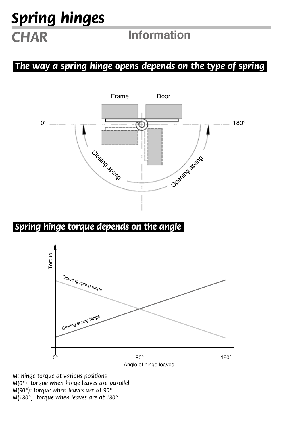# *Spring hinges CHAR* **Information**

### *.The way a spring hinge opens depends on the type of spring.*



### *.Spring hinge torque depends on the angle.*



*M: hinge torque at various positions M(0°): torque when hinge leaves are parallel M(90°): torque when leaves are at 90° M(180°): torque when leaves are at 180°*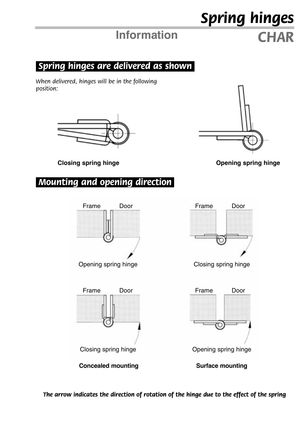## **Information** *CHAR*

*Spring hinges*

### *.Spring hinges are delivered as shown.*

*When delivered, hinges will be in the following position:*





**Closing spring hinge Opening spring hinge**

### *.Mounting and opening direction.*







*The arrow indicates the direction of rotation of the hinge due to the effect of the spring*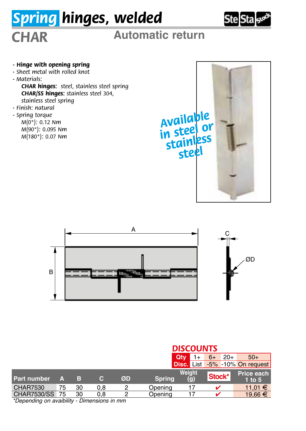# *Spring hinges, welded* **Ste Sta**<sub>ss®</sub> *CHAR* **Automatic return** *- Hinge with opening spring - Sheet metal with rolled knot - Materials: CHAR hinges: steel, stainless steel spring CHAR/SS hinges: stainless steel 304, stainless steel spring - Finish: natural - Spring torque Available M(0°): 0.12 Nm in steel or M(90°): 0.095 Nm M(180°): 0.07 Nm stainless steel* A  $\epsilon$ ØD B ing <sup>sum</sup>in. *DISCOUNTS*

|                                                                                                                                                                                                                                   |    |    |     |    | Qtv           |               | $20+$<br>$6+$ | $50+$                          |
|-----------------------------------------------------------------------------------------------------------------------------------------------------------------------------------------------------------------------------------|----|----|-----|----|---------------|---------------|---------------|--------------------------------|
|                                                                                                                                                                                                                                   |    |    |     |    |               |               |               | Disc. List -5% -10% On request |
| Part number                                                                                                                                                                                                                       | д  | в  | c.  | ØD | <b>Spring</b> | Weight<br>(g) | Stock*        | Price each<br>$1$ to $5$       |
| <b>CHAR7530</b>                                                                                                                                                                                                                   | 75 | 30 | 0.8 |    | Opening       |               |               | 11.01 €                        |
| CHAR7530/SS 75                                                                                                                                                                                                                    |    | 30 | 0.8 |    | Opening       |               |               | 19.66 €                        |
| $\frac{1}{2}$ and the contract of the contract of the contract of the contract of the contract of the contract of the contract of the contract of the contract of the contract of the contract of the contract of the contract of |    |    |     |    |               |               |               |                                |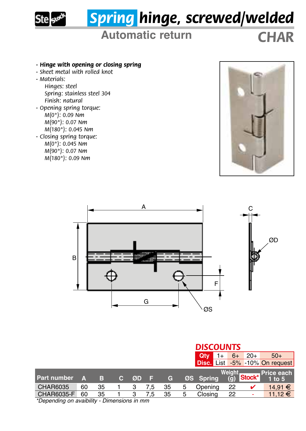

# *Spring hinge, screwed/welded*

## **Automatic return** *CHAR*

### *- Hinge with opening or closing spring*

- *Sheet metal with rolled knot*
- *Materials:*

*Hinges: steel Spring: stainless steel 304 Finish: natural*

- *Opening spring torque: M(0°): 0.09 Nm M(90°): 0.07 Nm*
	- *M(180°): 0.045 Nm*
- *Closing spring torque: M(0°): 0.045 Nm*
	- *M(90°): 0.07 Nm M(180°): 0.09 Nm*





|                                                                                           | <b>DISCOUNTS</b>         |  |  |  |  |  |  |  |
|-------------------------------------------------------------------------------------------|--------------------------|--|--|--|--|--|--|--|
| $1+$<br>$20+$<br>$6+$<br>Qtv                                                              | $50+$                    |  |  |  |  |  |  |  |
| Disc. List -5% -10% On request                                                            |                          |  |  |  |  |  |  |  |
| Weiaht<br>(g) Stock*<br>Part number<br>ØS Spring<br>в<br>ØD<br><b>C</b><br>C.<br>A<br>T E | Price each<br>$1$ to $5$ |  |  |  |  |  |  |  |
| CHAR6035<br>22<br>60<br>35<br>Opening<br>35<br>5<br>7.5                                   | $14.91 \in$              |  |  |  |  |  |  |  |
| CHAR6035-F<br>Closing<br>60<br>35<br>22<br>35<br>з<br>5<br>7.5<br><br><br>$-1$            | $11.12 \t∈$              |  |  |  |  |  |  |  |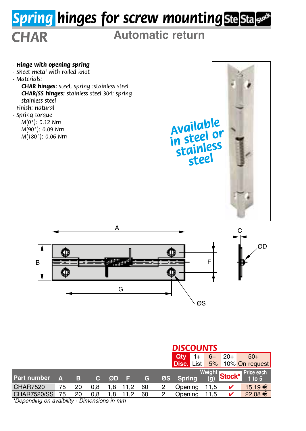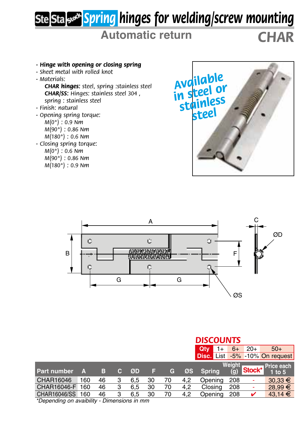# *Spring hinges for welding/screw mounting*

## **Automatic return** *CHAR*

- *Hinge with opening or closing spring*
- *Sheet metal with rolled knot*
- *Materials:*

*CHAR hinges: steel, spring :stainless steel CHAR/SS: Hinges: stainless steel 304 , spring : stainless steel*

- *Finish: natural*
- *Opening spring torque: M(0°) : 0.9 Nm M(90°) : 0.86 Nm M(180°) : 0.6 Nm*
- *Closing spring torque: M(0°) : 0.6 Nm M(90°) : 0.86 Nm*
	- *M(180°) : 0.9 Nm*





|                                                                                                                                                                                                                                   |     |    |    |     |    |            | <b>DISCOUNTS</b> |               |                   |        |                                |  |  |  |  |
|-----------------------------------------------------------------------------------------------------------------------------------------------------------------------------------------------------------------------------------|-----|----|----|-----|----|------------|------------------|---------------|-------------------|--------|--------------------------------|--|--|--|--|
|                                                                                                                                                                                                                                   |     |    |    |     |    |            |                  | Qtv<br>1+     | $6+$              | $20+$  | $50+$                          |  |  |  |  |
|                                                                                                                                                                                                                                   |     |    |    |     |    |            |                  |               |                   |        | Disc. List -5% -10% On request |  |  |  |  |
|                                                                                                                                                                                                                                   |     |    |    |     |    |            |                  |               | Weiaht            |        | Price each                     |  |  |  |  |
| Part number                                                                                                                                                                                                                       | Α   | в  | C. | ØD  | ы  | $\epsilon$ | ØS               | <b>Spring</b> | $\left( q\right)$ | Stock* | $1$ to $5$                     |  |  |  |  |
| CHAR16046                                                                                                                                                                                                                         | 160 | 46 | 3  | 6.5 | 30 | 70         | 4.2              | Opening       | 208               |        | $30,33 \in$                    |  |  |  |  |
| CHAR16046-F                                                                                                                                                                                                                       | 160 | 46 | 3  | 6.5 | 30 | 70         | 4.2              | Closing       | 208               | ٠      | 28.99 €                        |  |  |  |  |
| <b>CHAR16046/SS</b>                                                                                                                                                                                                               | 160 | 46 | 3  | 6.5 | 30 | 70         | 4.2              | Opening       | -208              | ັ      | $43,14 \in$                    |  |  |  |  |
| $\frac{1}{2}$ and the contract of the contract of the contract of the contract of the contract of the contract of the contract of the contract of the contract of the contract of the contract of the contract of the contract of |     |    |    |     |    |            |                  |               |                   |        |                                |  |  |  |  |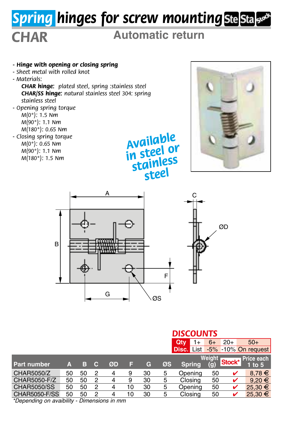# *Spring hinges for screw mounting*

## *CHAR* **Automatic return**

*- Hinge with opening or closing spring - Sheet metal with rolled knot - Materials: CHAR hinge: plated steel, spring :stainless steel CHAR/SS hinge: natural stainless steel 304: spring stainless steel - Opening spring torque M(0°): 1.5 Nm M(90°): 1.1 Nm M(180°): 0.65 Nm - Closing spring torque M(0°): 0.65 Nm M(90°): 1.1 Nm M(180°): 1.5 Nm Available in steel or stainless* 





*steel*

|                      | <b>DISCOUNTS</b> |           |   |    |    |    |    |                                |                          |        |                          |
|----------------------|------------------|-----------|---|----|----|----|----|--------------------------------|--------------------------|--------|--------------------------|
|                      |                  |           |   |    |    |    |    | Qtv<br>1+                      | $6+$                     | $20+$  | $50+$                    |
|                      |                  |           |   |    |    |    |    | Disc. List -5% -10% On request |                          |        |                          |
| <b>Part number</b>   | А                | в         | C | ØD | Е  | G  | ØS | <b>Spring</b>                  | Weiaht<br>$\mathbf{(q)}$ | Stock* | Price each<br>$1$ to $5$ |
| CHAR5050/Z           | 50               | 50        | 2 | 4  | 9  | 30 | 5  | Opening                        | 50                       | V      | $8.78 \in$               |
| CHAR5050-F/Z         | 50               | 50        | 2 |    | 9  | 30 | 5  | Closing                        | 50                       | v      | $9.20 \in$               |
| <b>CHAR5050/SS</b>   | 50               | 50        | 2 |    | 10 | 30 | 5  | Opening                        | 50                       | ✔      | 25.30 €                  |
| <b>CHAR5050-F/SS</b> | 50<br>           | 50<br>- - | 2 |    | 10 | 30 | 5  | Closing                        | 50                       | ✓      | 25,30 €                  |